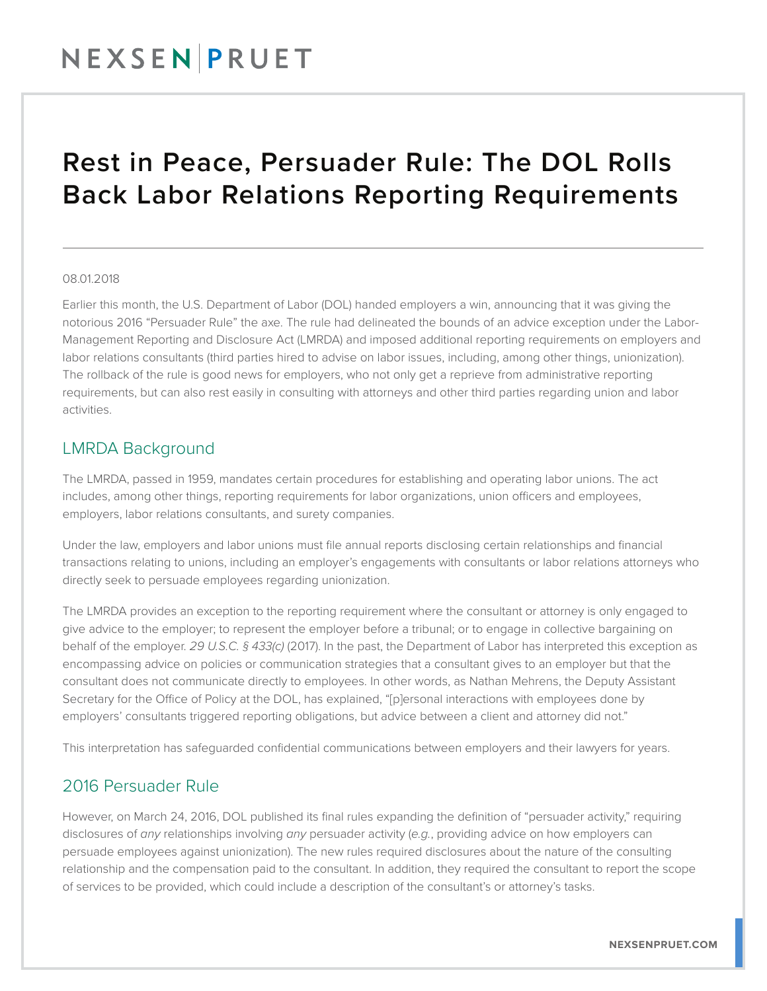## NEXSENPRUET

## Rest in Peace, Persuader Rule: The DOL Rolls Back Labor Relations Reporting Requirements

#### 08.01.2018

Earlier this month, the U.S. Department of Labor (DOL) handed employers a win, announcing that it was giving the notorious 2016 "Persuader Rule" the axe. The rule had delineated the bounds of an advice exception under the Labor-Management Reporting and Disclosure Act (LMRDA) and imposed additional reporting requirements on employers and labor relations consultants (third parties hired to advise on labor issues, including, among other things, unionization). The rollback of the rule is good news for employers, who not only get a reprieve from administrative reporting requirements, but can also rest easily in consulting with attorneys and other third parties regarding union and labor activities.

#### LMRDA Background

The LMRDA, passed in 1959, mandates certain procedures for establishing and operating labor unions. The act includes, among other things, reporting requirements for labor organizations, union officers and employees, employers, labor relations consultants, and surety companies.

Under the law, employers and labor unions must file annual reports disclosing certain relationships and financial transactions relating to unions, including an employer's engagements with consultants or labor relations attorneys who directly seek to persuade employees regarding unionization.

The LMRDA provides an exception to the reporting requirement where the consultant or attorney is only engaged to give advice to the employer; to represent the employer before a tribunal; or to engage in collective bargaining on behalf of the employer. *29 U.S.C. § 433(c)* (2017). In the past, the Department of Labor has interpreted this exception as encompassing advice on policies or communication strategies that a consultant gives to an employer but that the consultant does not communicate directly to employees. In other words, as Nathan Mehrens, the Deputy Assistant Secretary for the Office of Policy at the DOL, has explained, "[p]ersonal interactions with employees done by employers' consultants triggered reporting obligations, but advice between a client and attorney did not."

This interpretation has safeguarded confidential communications between employers and their lawyers for years.

#### 2016 Persuader Rule

However, on March 24, 2016, DOL published its final rules expanding the definition of "persuader activity," requiring disclosures of *any* relationships involving *any* persuader activity (*e.g.*, providing advice on how employers can persuade employees against unionization). The new rules required disclosures about the nature of the consulting relationship and the compensation paid to the consultant. In addition, they required the consultant to report the scope of services to be provided, which could include a description of the consultant's or attorney's tasks.